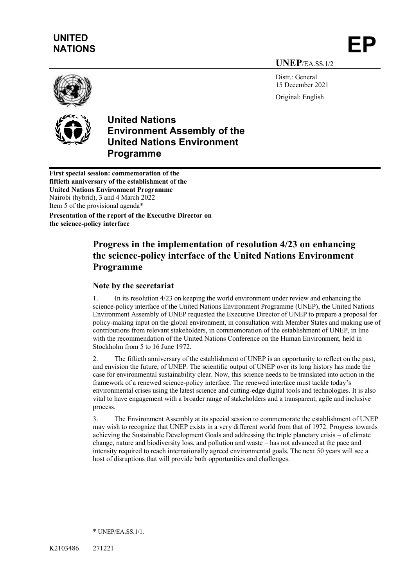# **UNITED**  UNITED<br>NATIONS **EP**

**UNEP**/EA.SS.1/2

Distr · General 15 December 2021

Original: English



# **United Nations Environment Assembly of the United Nations Environment Programme**

**First special session: commemoration of the fiftieth anniversary of the establishment of the United Nations Environment Programme** Nairobi (hybrid), 3 and 4 March 2022 Item 5 of the provisional agenda\*

**Presentation of the report of the Executive Director on the science-policy interface**

# **Progress in the implementation of resolution 4/23 on enhancing the science-policy interface of the United Nations Environment Programme**

### **Note by the secretariat**

1. In its resolution 4/23 on keeping the world environment under review and enhancing the science-policy interface of the United Nations Environment Programme (UNEP), the United Nations Environment Assembly of UNEP requested the Executive Director of UNEP to prepare a proposal for policy-making input on the global environment, in consultation with Member States and making use of contributions from relevant stakeholders, in commemoration of the establishment of UNEP, in line with the recommendation of the United Nations Conference on the Human Environment, held in Stockholm from 5 to 16 June 1972.

2. The fiftieth anniversary of the establishment of UNEP is an opportunity to reflect on the past, and envision the future, of UNEP. The scientific output of UNEP over its long history has made the case for environmental sustainability clear. Now, this science needs to be translated into action in the framework of a renewed science-policy interface. The renewed interface must tackle today's environmental crises using the latest science and cutting-edge digital tools and technologies. It is also vital to have engagement with a broader range of stakeholders and a transparent, agile and inclusive process.

3. The Environment Assembly at its special session to commemorate the establishment of UNEP may wish to recognize that UNEP exists in a very different world from that of 1972. Progress towards achieving the Sustainable Development Goals and addressing the triple planetary crisis – of climate change, nature and biodiversity loss, and pollution and waste – has not advanced at the pace and intensity required to reach internationally agreed environmental goals. The next 50 years will see a host of disruptions that will provide both opportunities and challenges.

<sup>\*</sup> UNEP/EA.SS.1/1.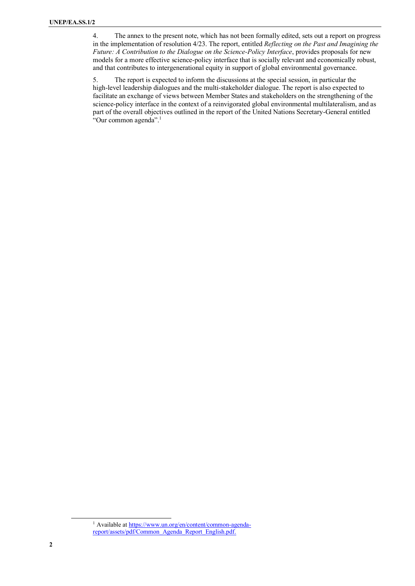4. The annex to the present note, which has not been formally edited, sets out a report on progress in the implementation of resolution 4/23. The report, entitled *Reflecting on the Past and Imagining the Future: A Contribution to the Dialogue on the Science-Policy Interface*, provides proposals for new models for a more effective science-policy interface that is socially relevant and economically robust, and that contributes to intergenerational equity in support of global environmental governance.

5. The report is expected to inform the discussions at the special session, in particular the high-level leadership dialogues and the multi-stakeholder dialogue. The report is also expected to facilitate an exchange of views between Member States and stakeholders on the strengthening of the science-policy interface in the context of a reinvigorated global environmental multilateralism, and as part of the overall objectives outlined in the report of the United Nations Secretary-General entitled "Our common agenda".<sup>1</sup>

<sup>&</sup>lt;sup>1</sup> Available a[t https://www.un.org/en/content/common-agenda](https://www.un.org/en/content/common-agenda-report/assets/pdf/Common_Agenda_Report_English.pdf)[report/assets/pdf/Common\\_Agenda\\_Report\\_English.pdf.](https://www.un.org/en/content/common-agenda-report/assets/pdf/Common_Agenda_Report_English.pdf)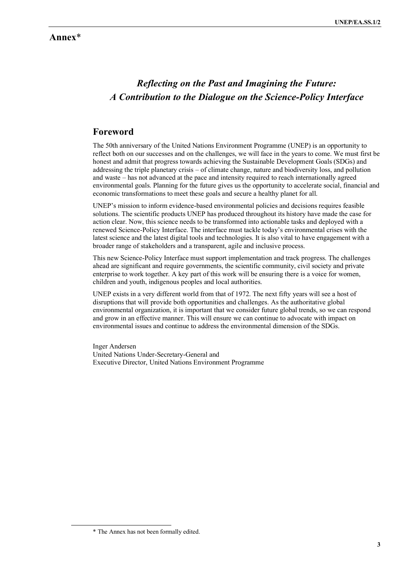### **Annex**\*

# *Reflecting on the Past and Imagining the Future: A Contribution to the Dialogue on the Science-Policy Interface*

## **Foreword**

The 50th anniversary of the United Nations Environment Programme (UNEP) is an opportunity to reflect both on our successes and on the challenges, we will face in the years to come. We must first be honest and admit that progress towards achieving the Sustainable Development Goals (SDGs) and addressing the triple planetary crisis – of climate change, nature and biodiversity loss, and pollution and waste – has not advanced at the pace and intensity required to reach internationally agreed environmental goals. Planning for the future gives us the opportunity to accelerate social, financial and economic transformations to meet these goals and secure a healthy planet for all.

UNEP's mission to inform evidence-based environmental policies and decisions requires feasible solutions. The scientific products UNEP has produced throughout its history have made the case for action clear. Now, this science needs to be transformed into actionable tasks and deployed with a renewed Science-Policy Interface. The interface must tackle today's environmental crises with the latest science and the latest digital tools and technologies. It is also vital to have engagement with a broader range of stakeholders and a transparent, agile and inclusive process.

This new Science-Policy Interface must support implementation and track progress. The challenges ahead are significant and require governments, the scientific community, civil society and private enterprise to work together. A key part of this work will be ensuring there is a voice for women, children and youth, indigenous peoples and local authorities.

UNEP exists in a very different world from that of 1972. The next fifty years will see a host of disruptions that will provide both opportunities and challenges. As the authoritative global environmental organization, it is important that we consider future global trends, so we can respond and grow in an effective manner. This will ensure we can continue to advocate with impact on environmental issues and continue to address the environmental dimension of the SDGs.

Inger Andersen United Nations Under-Secretary-General and Executive Director, United Nations Environment Programme

<sup>\*</sup> The Annex has not been formally edited.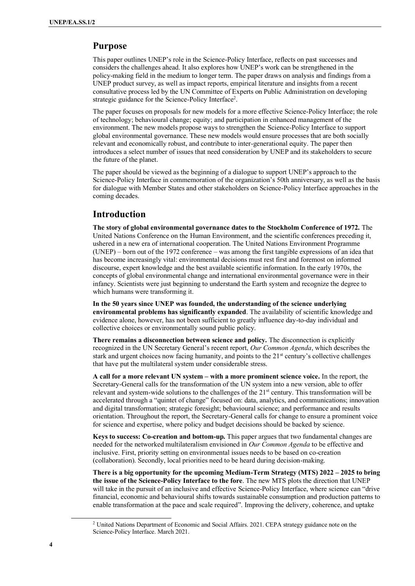### **Purpose**

This paper outlines UNEP's role in the Science-Policy Interface, reflects on past successes and considers the challenges ahead. It also explores how UNEP's work can be strengthened in the policy-making field in the medium to longer term. The paper draws on analysis and findings from a UNEP product survey, as well as impact reports, empirical literature and insights from a recent consultative process led by the UN Committee of Experts on Public Administration on developing strategic guidance for the Science-Policy Interface<sup>2</sup>.

The paper focuses on proposals for new models for a more effective Science-Policy Interface; the role of technology; behavioural change; equity; and participation in enhanced management of the environment. The new models propose ways to strengthen the Science-Policy Interface to support global environmental governance. These new models would ensure processes that are both socially relevant and economically robust, and contribute to inter-generational equity. The paper then introduces a select number of issues that need consideration by UNEP and its stakeholders to secure the future of the planet.

The paper should be viewed as the beginning of a dialogue to support UNEP's approach to the Science-Policy Interface in commemoration of the organization's 50th anniversary, as well as the basis for dialogue with Member States and other stakeholders on Science-Policy Interface approaches in the coming decades.

### **Introduction**

**The story of global environmental governance dates to the Stockholm Conference of 1972.** The United Nations Conference on the Human Environment, and the scientific conferences preceding it, ushered in a new era of international cooperation. The United Nations Environment Programme (UNEP) – born out of the 1972 conference – was among the first tangible expressions of an idea that has become increasingly vital: environmental decisions must rest first and foremost on informed discourse, expert knowledge and the best available scientific information. In the early 1970s, the concepts of global environmental change and international environmental governance were in their infancy. Scientists were just beginning to understand the Earth system and recognize the degree to which humans were transforming it.

**In the 50 years since UNEP was founded, the understanding of the science underlying environmental problems has significantly expanded**. The availability of scientific knowledge and evidence alone, however, has not been sufficient to greatly influence day-to-day individual and collective choices or environmentally sound public policy.

**There remains a disconnection between science and policy.** The disconnection is explicitly recognized in the UN Secretary General's recent report, *Our Common Agenda*, which describes the stark and urgent choices now facing humanity, and points to the  $21<sup>st</sup>$  century's collective challenges that have put the multilateral system under considerable stress.

**A call for a more relevant UN system – with a more prominent science voice.** In the report, the Secretary-General calls for the transformation of the UN system into a new version, able to offer relevant and system-wide solutions to the challenges of the 21<sup>st</sup> century. This transformation will be accelerated through a "quintet of change" focused on: data, analytics, and communications; innovation and digital transformation; strategic foresight; behavioural science; and performance and results orientation. Throughout the report, the Secretary-General calls for change to ensure a prominent voice for science and expertise, where policy and budget decisions should be backed by science.

**Keys to success: Co-creation and bottom-up.** This paper argues that two fundamental changes are needed for the networked multilateralism envisioned in *Our Common Agenda* to be effective and inclusive. First, priority setting on environmental issues needs to be based on co-creation (collaboration). Secondly, local priorities need to be heard during decision-making.

**There is a big opportunity for the upcoming Medium-Term Strategy (MTS) 2022 – 2025 to bring the issue of the Science-Policy Interface to the fore**. The new MTS plots the direction that UNEP will take in the pursuit of an inclusive and effective Science-Policy Interface, where science can "drive financial, economic and behavioural shifts towards sustainable consumption and production patterns to enable transformation at the pace and scale required". Improving the delivery, coherence, and uptake

<sup>&</sup>lt;sup>2</sup> United Nations Department of Economic and Social Affairs. 2021. CEPA strategy guidance note on the Science-Policy Interface. March 2021.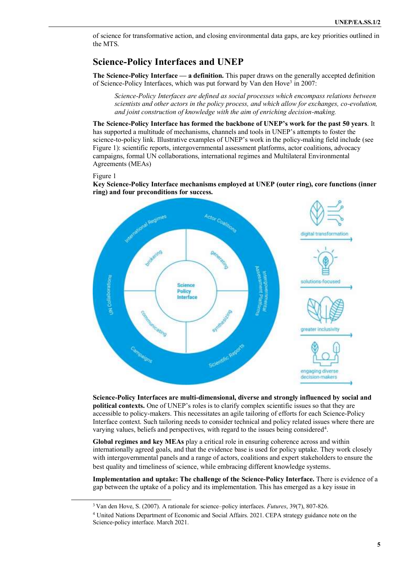of science for transformative action, and closing environmental data gaps, are key priorities outlined in the MTS.

# **Science-Policy Interfaces and UNEP**

**The Science-Policy Interface — a definition.** This paper draws on the generally accepted definition of Science-Policy Interfaces, which was put forward by Van den Hove<sup>3</sup> in 2007:

*Science-Policy Interfaces are defined as social processes which encompass relations between scientists and other actors in the policy process, and which allow for exchanges, co-evolution, and joint construction of knowledge with the aim of enriching decision-making.*

**The Science-Policy Interface has formed the backbone of UNEP's work for the past 50 years**. It has supported a multitude of mechanisms, channels and tools in UNEP's attempts to foster the science-to-policy link. Illustrative examples of UNEP's work in the policy-making field include (see Figure 1): scientific reports, intergovernmental assessment platforms, actor coalitions, advocacy campaigns, formal UN collaborations, international regimes and Multilateral Environmental Agreements (MEAs)

#### Figure 1

**Key Science-Policy Interface mechanisms employed at UNEP (outer ring), core functions (inner ring) and four preconditions for success.** 



**Science-Policy Interfaces are multi-dimensional, diverse and strongly influenced by social and political contexts.** One of UNEP's roles is to clarify complex scientific issues so that they are accessible to policy-makers. This necessitates an agile tailoring of efforts for each Science-Policy Interface context. Such tailoring needs to consider technical and policy related issues where there are varying values, beliefs and perspectives, with regard to the issues being considered<sup>4</sup>.

**Global regimes and key MEAs** play a critical role in ensuring coherence across and within internationally agreed goals, and that the evidence base is used for policy uptake. They work closely with intergovernmental panels and a range of actors, coalitions and expert stakeholders to ensure the best quality and timeliness of science, while embracing different knowledge systems.

**Implementation and uptake: The challenge of the Science-Policy Interface.** There is evidence of a gap between the uptake of a policy and its implementation. This has emerged as a key issue in

<sup>3</sup> Van den Hove, S. (2007). A rationale for science–policy interfaces. *Futures*, 39(7), 807-826.

<sup>4</sup> United Nations Department of Economic and Social Affairs. 2021. CEPA strategy guidance note on the Science-policy interface. March 2021.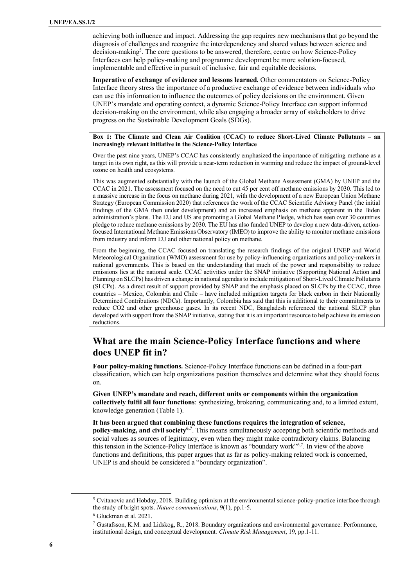achieving both influence and impact. Addressing the gap requires new mechanisms that go beyond the diagnosis of challenges and recognize the interdependency and shared values between science and decision-making<sup>5</sup>. The core questions to be answered, therefore, centre on how Science-Policy Interfaces can help policy-making and programme development be more solution-focused, implementable and effective in pursuit of inclusive, fair and equitable decisions.

**Imperative of exchange of evidence and lessons learned.** Other commentators on Science-Policy Interface theory stress the importance of a productive exchange of evidence between individuals who can use this information to influence the outcomes of policy decisions on the environment. Given UNEP's mandate and operating context, a dynamic Science-Policy Interface can support informed decision-making on the environment, while also engaging a broader array of stakeholders to drive progress on the Sustainable Development Goals (SDGs).

#### **Box 1: The Climate and Clean Air Coalition (CCAC) to reduce Short-Lived Climate Pollutants – an increasingly relevant initiative in the Science-Policy Interface**

Over the past nine years, UNEP's CCAC has consistently emphasized the importance of mitigating methane as a target in its own right, as this will provide a near-term reduction in warming and reduce the impact of ground-level ozone on health and ecosystems.

This was augmented substantially with the launch of the Global Methane Assessment (GMA) by UNEP and the CCAC in 2021. The assessment focused on the need to cut 45 per cent off methane emissions by 2030. This led to a massive increase in the focus on methane during 2021, with the development of a new European Union Methane Strategy (European Commission 2020) that references the work of the CCAC Scientific Advisory Panel (the initial findings of the GMA then under development) and an increased emphasis on methane apparent in the Biden administration's plans. The EU and US are promoting a Global Methane Pledge, which has seen over 30 countries pledge to reduce methane emissions by 2030. The EU has also funded UNEP to develop a new data-driven, actionfocused International Methane Emissions Observatory (IMEO) to improve the ability to monitor methane emissions from industry and inform EU and other national policy on methane.

From the beginning, the CCAC focused on translating the research findings of the original UNEP and World Meteorological Organization (WMO) assessment for use by policy-influencing organizations and policy-makers in national governments. This is based on the understanding that much of the power and responsibility to reduce emissions lies at the national scale. CCAC activities under the SNAP initiative (Supporting National Action and Planning on SLCPs) has driven a change in national agendas to include mitigation of Short-Lived Climate Pollutants (SLCPs). As a direct result of support provided by SNAP and the emphasis placed on SLCPs by the CCAC, three countries – Mexico, Colombia and Chile – have included mitigation targets for black carbon in their Nationally Determined Contributions (NDCs). Importantly, Colombia has said that this is additional to their commitments to reduce CO2 and other greenhouse gases. In its recent NDC, Bangladesh referenced the national SLCP plan developed with support from the SNAP initiative, stating that it is an important resource to help achieve its emission reductions.

# **What are the main Science-Policy Interface functions and where does UNEP fit in?**

**Four policy-making functions.** Science-Policy Interface functions can be defined in a four-part classification, which can help organizations position themselves and determine what they should focus on.

**Given UNEP's mandate and reach, different units or components within the organization collectively fulfil all four functions**: synthesizing, brokering, communicating and, to a limited extent, knowledge generation (Table 1).

**It has been argued that combining these functions requires the integration of science, policy-making, and civil society6,7** . This means simultaneously accepting both scientific methods and social values as sources of legitimacy, even when they might make contradictory claims. Balancing this tension in the Science-Policy Interface is known as "boundary work"6,7. In view of the above functions and definitions, this paper argues that as far as policy-making related work is concerned, UNEP is and should be considered a "boundary organization".

<sup>5</sup> Cvitanovic and Hobday, 2018. Building optimism at the environmental science-policy-practice interface through the study of bright spots. *Nature communications*, 9(1), pp.1-5.

<sup>6</sup> Gluckman et al. 2021.

<sup>7</sup> Gustafsson, K.M. and Lidskog, R., 2018. Boundary organizations and environmental governance: Performance, institutional design, and conceptual development. *Climate Risk Management*, 19, pp.1-11.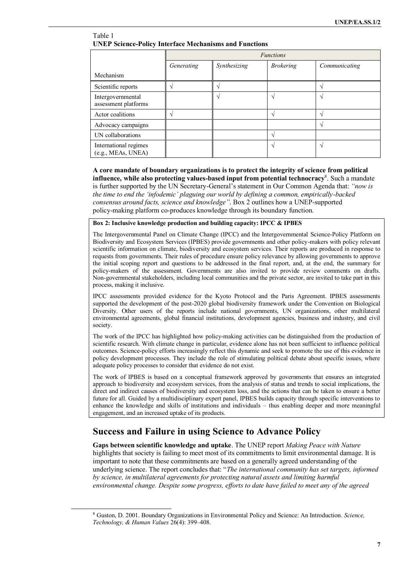| Table 1 |                                                               |  |
|---------|---------------------------------------------------------------|--|
|         | <b>UNEP Science-Policy Interface Mechanisms and Functions</b> |  |

|                                             | <b>Functions</b> |                   |                  |               |  |
|---------------------------------------------|------------------|-------------------|------------------|---------------|--|
|                                             | Generating       | Synthesizing      | <b>Brokering</b> | Communicating |  |
| Mechanism                                   |                  |                   |                  |               |  |
| Scientific reports                          |                  | $\mathbf \Lambda$ |                  |               |  |
| Intergovernmental<br>assessment platforms   |                  |                   |                  |               |  |
| Actor coalitions                            |                  |                   |                  |               |  |
| Advocacy campaigns                          |                  |                   |                  |               |  |
| UN collaborations                           |                  |                   |                  |               |  |
| International regimes<br>(e.g., MEAs, UNEA) |                  |                   |                  |               |  |

**A core mandate of boundary organizations is to protect the integrity of science from political influence, while also protecting values-based input from potential technocracy**<sup>8</sup> . Such a mandate is further supported by the UN Secretary-General's statement in Our Common Agenda that: *"now is the time to end the 'infodemic' plaguing our world by defining a common, empirically-backed consensus around facts, science and knowledge"*. Box 2 outlines how a UNEP-supported policy-making platform co-produces knowledge through its boundary function.

**Box 2: Inclusive knowledge production and building capacity: IPCC & IPBES**

The Intergovernmental Panel on Climate Change (IPCC) and the Intergovernmental Science-Policy Platform on Biodiversity and Ecosystem Services (IPBES) provide governments and other policy-makers with policy relevant scientific information on climate, biodiversity and ecosystem services. Their reports are produced in response to requests from governments. Their rules of procedure ensure policy relevance by allowing governments to approve the initial scoping report and questions to be addressed in the final report, and, at the end, the summary for policy-makers of the assessment. Governments are also invited to provide review comments on drafts. Non-governmental stakeholders, including local communities and the private sector, are invited to take part in this process, making it inclusive.

IPCC assessments provided evidence for the Kyoto Protocol and the Paris Agreement. IPBES assessments supported the development of the post-2020 global biodiversity framework under the Convention on Biological Diversity. Other users of the reports include national governments, UN organizations, other multilateral environmental agreements, global financial institutions, development agencies, business and industry, and civil society.

The work of the IPCC has highlighted how policy-making activities can be distinguished from the production of scientific research. With climate change in particular, evidence alone has not been sufficient to influence political outcomes. Science-policy efforts increasingly reflect this dynamic and seek to promote the use of this evidence in policy development processes. They include the role of stimulating political debate about specific issues, where adequate policy processes to consider that evidence do not exist.

The work of IPBES is based on a conceptual framework approved by governments that ensures an integrated approach to biodiversity and ecosystem services, from the analysis of status and trends to social implications, the direct and indirect causes of biodiversity and ecosystem loss, and the actions that can be taken to ensure a better future for all. Guided by a multidisciplinary expert panel, IPBES builds capacity through specific interventions to enhance the knowledge and skills of institutions and individuals – thus enabling deeper and more meaningful engagement, and an increased uptake of its products.

# **Success and Failure in using Science to Advance Policy**

**Gaps between scientific knowledge and uptake**. The UNEP report *Making Peace with Nature* highlights that society is failing to meet most of its commitments to limit environmental damage. It is important to note that these commitments are based on a generally agreed understanding of the underlying science. The report concludes that: "*The international community has set targets, informed by science, in multilateral agreements for protecting natural assets and limiting harmful environmental change. Despite some progress, efforts to date have failed to meet any of the agreed* 

<sup>8</sup> Guston, D. 2001. Boundary Organizations in Environmental Policy and Science: An Introduction. *Science, Technology, & Human Values* 26(4): 399–408.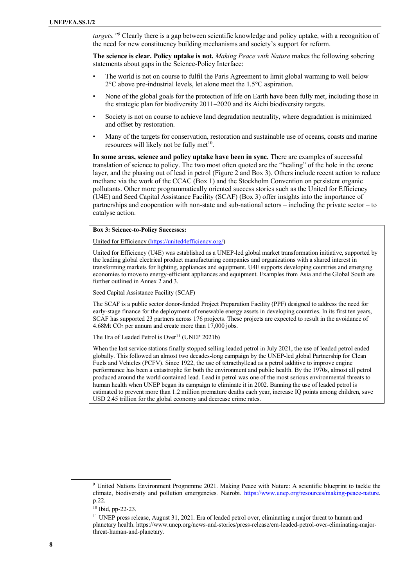*targets.*"<sup>9</sup> Clearly there is a gap between scientific knowledge and policy uptake, with a recognition of the need for new constituency building mechanisms and society's support for reform.

**The science is clear. Policy uptake is not.** *Making Peace with Nature* makes the following sobering statements about gaps in the Science-Policy Interface:

- The world is not on course to fulfil the Paris Agreement to limit global warming to well below 2°C above pre-industrial levels, let alone meet the 1.5°C aspiration.
- None of the global goals for the protection of life on Earth have been fully met, including those in the strategic plan for biodiversity 2011–2020 and its Aichi biodiversity targets.
- Society is not on course to achieve land degradation neutrality, where degradation is minimized and offset by restoration.
- Many of the targets for conservation, restoration and sustainable use of oceans, coasts and marine resources will likely not be fully met $10$ .

**In some areas, science and policy uptake have been in sync.** There are examples of successful translation of science to policy. The two most often quoted are the "healing" of the hole in the ozone layer, and the phasing out of lead in petrol (Figure 2 and Box 3). Others include recent action to reduce methane via the work of the CCAC (Box 1) and the Stockholm Convention on persistent organic pollutants. Other more programmatically oriented success stories such as the United for Efficiency (U4E) and Seed Capital Assistance Facility (SCAF) (Box 3) offer insights into the importance of partnerships and cooperation with non-state and sub-national actors – including the private sector – to catalyse action.

#### **Box 3: Science-to-Policy Successes:**

#### United for Efficiency [\(https://united4efficiency.org/\)](https://united4efficiency.org/)

United for Efficiency (U4E) was established as a UNEP-led global market transformation initiative, supported by the leading global electrical product manufacturing companies and organizations with a shared interest in transforming markets for lighting, appliances and equipment. U4E supports developing countries and emerging economies to move to energy-efficient appliances and equipment. Examples from Asia and the Global South are further outlined in Annex 2 and 3.

#### Seed Capital Assistance Facility (SCAF)

The SCAF is a public sector donor-funded Project Preparation Facility (PPF) designed to address the need for early-stage finance for the deployment of renewable energy assets in developing countries. In its first ten years, SCAF has supported 23 partners across 176 projects. These projects are expected to result in the avoidance of 4.68Mt CO<sup>2</sup> per annum and create more than 17,000 jobs.

#### The Era of Leaded Petrol is Over<sup>11</sup> (UNEP 2021b)

When the last service stations finally stopped selling leaded petrol in July 2021, the use of leaded petrol ended globally. This followed an almost two decades-long campaign by the UNEP-led global Partnership for [Clean](https://www.unep.org/explore-topics/transport/what-we-do/partnership-clean-fuels-and-vehicles)  [Fuels and Vehicles](https://www.unep.org/explore-topics/transport/what-we-do/partnership-clean-fuels-and-vehicles) (PCFV). Since 1922, the use of tetraethyllead as a petrol additive to improve engine performance has been a [catastrophe for both the environment and public health.](http://who.int/bulletin/archives/80(10)768.pdf) By the 1970s, almost all petrol produced around the world contained lead. Lead in petrol was [one of the most serious environmental threats to](https://documents1.worldbank.org/curated/en/627231468764982874/pdf/multi-page.pdf)  [human health](https://documents1.worldbank.org/curated/en/627231468764982874/pdf/multi-page.pdf) when UNEP began its [campaign](https://www.unep.org/news-and-stories/story/inside-20-year-campaign-rid-world-leaded-fuel) to eliminate it in 2002. Banning the use of leaded petrol is [estimated](http://www.csun.edu/~vchsc006/lead.pdf) to prevent more than 1.2 million premature deaths each year, increase IQ points among children, save USD 2.45 trillion for the global economy and decrease crime rates.

<sup>9</sup> United Nations Environment Programme 2021. Making Peace with Nature: A scientific blueprint to tackle the climate, biodiversity and pollution emergencies. Nairobi. [https://www.unep.org/resources/making-peace-nature.](https://www.unep.org/resources/making-peace-nature)  p.22.

<sup>10</sup> Ibid, pp-22-23.

<sup>11</sup> UNEP press release, August 31, 2021. Era of leaded petrol over, eliminating a major threat to human and planetary health. https://www.unep.org/news-and-stories/press-release/era-leaded-petrol-over-eliminating-majorthreat-human-and-planetary.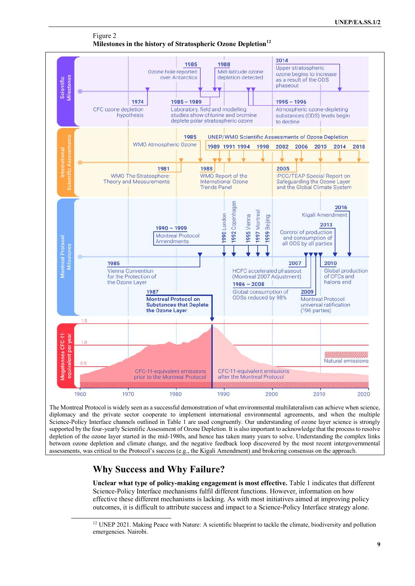

Figure 2 **Milestones in the history of Stratospheric Ozone Depletion<sup>12</sup>**

The Montreal Protocol is widely seen as a successful demonstration of what environmental multilateralism can achieve when science, diplomacy and the private sector cooperate to implement international environmental agreements, and when the multiple Science-Policy Interface channels outlined in Table 1 are used congruently. Our understanding of ozone layer science is strongly supported by the four-yearly Scientific Assessment of Ozone Depletion. It is also important to acknowledge that the process to resolve depletion of the ozone layer started in the mid-1980s, and hence has taken many years to solve. Understanding the complex links between ozone depletion and climate change, and the negative feedback loop discovered by the most recent intergovernmental assessments, was critical to the Protocol's success (e.g., the Kigali Amendment) and brokering consensus on the approach.

# **Why Success and Why Failure?**

**Unclear what type of policy-making engagement is most effective.** Table 1 indicates that different Science-Policy Interface mechanisms fulfil different functions. However, information on how effective these different mechanisms is lacking. As with most initiatives aimed at improving policy outcomes, it is difficult to attribute success and impact to a Science-Policy Interface strategy alone.

<sup>&</sup>lt;sup>12</sup> UNEP 2021. Making Peace with Nature: A scientific blueprint to tackle the climate, biodiversity and pollution emergencies. Nairobi.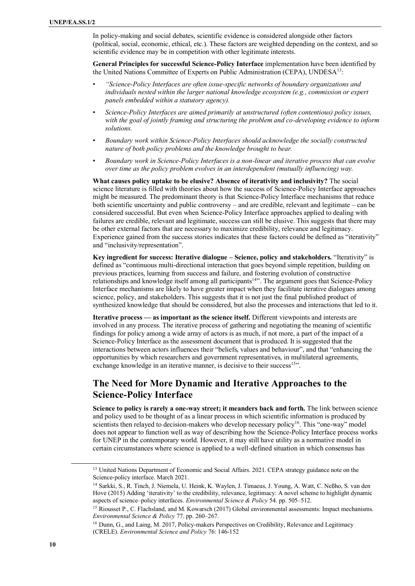In policy-making and social debates, scientific evidence is considered alongside other factors (political, social, economic, ethical, etc.). These factors are weighted depending on the context, and so scientific evidence may be in competition with other legitimate interests.

**General Principles for successful Science-Policy Interface** implementation have been identified by the United Nations Committee of Experts on Public Administration (CEPA), UNDESA<sup>13</sup>:

- *"Science-Policy Interfaces are often issue-specific networks of boundary organizations and individuals nested within the larger national knowledge ecosystem (e.g., commission or expert panels embedded within a statutory agency).*
- *Science-Policy Interfaces are aimed primarily at unstructured (often contentious) policy issues, with the goal of jointly framing and structuring the problem and co-developing evidence to inform solutions.*
- *Boundary work within Science-Policy Interfaces should acknowledge the socially constructed nature of both policy problems and the knowledge brought to bear.*
- *Boundary work in Science-Policy Interfaces is a non-linear and iterative process that can evolve over time as the policy problem evolves in an interdependent (mutually influencing) way.*

**What causes policy uptake to be elusive? Absence of iterativity and inclusivity?** The social science literature is filled with theories about how the success of Science-Policy Interface approaches might be measured. The predominant theory is that Science-Policy Interface mechanisms that reduce both scientific uncertainty and public controversy – and are credible, relevant and legitimate – can be considered successful. But even when Science-Policy Interface approaches applied to dealing with failures are credible, relevant and legitimate, success can still be elusive. This suggests that there may be other external factors that are necessary to maximize credibility, relevance and legitimacy. Experience gained from the success stories indicates that these factors could be defined as "iterativity" and "inclusivity/representation".

**Key ingredient for success: Iterative dialogue – Science, policy and stakeholders.** "Iterativity" is defined as "continuous multi-directional interaction that goes beyond simple repetition, building on previous practices, learning from success and failure, and fostering evolution of constructive relationships and knowledge itself among all participants<sup>14</sup>". The argument goes that Science-Policy Interface mechanisms are likely to have greater impact when they facilitate iterative dialogues among science, policy, and stakeholders. This suggests that it is not just the final published product of synthesized knowledge that should be considered, but also the processes and interactions that led to it.

**Iterative process — as important as the science itself.** Different viewpoints and interests are involved in any process. The iterative process of gathering and negotiating the meaning of scientific findings for policy among a wide array of actors is as much, if not more, a part of the impact of a Science-Policy Interface as the assessment document that is produced. It is suggested that the interactions between actors influences their "beliefs, values and behaviour", and that "enhancing the opportunities by which researchers and government representatives, in multilateral agreements, exchange knowledge in an iterative manner, is decisive to their success<sup>15</sup>".

# **The Need for More Dynamic and Iterative Approaches to the Science-Policy Interface**

**Science to policy is rarely a one-way street; it meanders back and forth.** The link between science and policy used to be thought of as a linear process in which scientific information is produced by scientists then relayed to decision-makers who develop necessary policy<sup>16</sup>. This "one-way" model does not appear to function well as way of describing how the Science-Policy Interface process works for UNEP in the contemporary world. However, it may still have utility as a normative model in certain circumstances where science is applied to a well-defined situation in which consensus has

<sup>&</sup>lt;sup>13</sup> United Nations Department of Economic and Social Affairs. 2021. CEPA strategy guidance note on the Science-policy interface. March 2021.

<sup>14</sup> Sarkki, S., R. Tinch, J. Niemela, U. Heink, K. Waylen, J. Timaeus, J. Young, A. Watt, C. Neßho, S. van den Hove (2015) Adding 'iterativity' to the credibility, relevance, legitimacy: A novel scheme to highlight dynamic aspects of science–policy interfaces. *Environmental Science & Policy* 54. pp. 505–512.

<sup>&</sup>lt;sup>15</sup> Riousset P., C. Flachsland, and M. Kowarsch (2017) Global environmental assessments: Impact mechanisms. *Environmental Science & Policy* 77. pp. 260–267.

<sup>&</sup>lt;sup>16</sup> Dunn, G., and Laing, M. 2017, Policy-makers Perspectives on Credibility, Relevance and Legitimacy (CRELE). *Environmental Science and Policy* 76: 146-152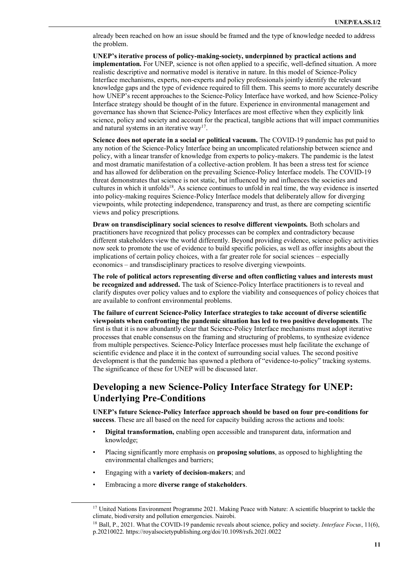already been reached on how an issue should be framed and the type of knowledge needed to address the problem.

**UNEP's iterative process of policy-making-society, underpinned by practical actions and implementation.** For UNEP, science is not often applied to a specific, well-defined situation. A more realistic descriptive and normative model is iterative in nature. In this model of Science-Policy Interface mechanisms, experts, non-experts and policy professionals jointly identify the relevant knowledge gaps and the type of evidence required to fill them. This seems to more accurately describe how UNEP's recent approaches to the Science-Policy Interface have worked, and how Science-Policy Interface strategy should be thought of in the future. Experience in environmental management and governance has shown that Science-Policy Interfaces are most effective when they explicitly link science, policy and society and account for the practical, tangible actions that will impact communities and natural systems in an iterative way<sup>17</sup>.

**Science does not operate in a social or political vacuum.** The COVID-19 pandemic has put paid to any notion of the Science-Policy Interface being an uncomplicated relationship between science and policy, with a linear transfer of knowledge from experts to policy-makers. The pandemic is the latest and most dramatic manifestation of a collective-action problem. It has been a stress test for science and has allowed for deliberation on the prevailing Science-Policy Interface models. The COVID-19 threat demonstrates that science is not static, but influenced by and influences the societies and cultures in which it unfolds<sup>18</sup>. As science continues to unfold in real time, the way evidence is inserted into policy-making requires Science-Policy Interface models that deliberately allow for diverging viewpoints, while protecting independence, transparency and trust, as there are competing scientific views and policy prescriptions.

**Draw on transdisciplinary social sciences to resolve different viewpoints.** Both scholars and practitioners have recognized that policy processes can be complex and contradictory because different stakeholders view the world differently. Beyond providing evidence, science policy activities now seek to promote the use of evidence to build specific policies, as well as offer insights about the implications of certain policy choices, with a far greater role for social sciences – especially economics – and transdisciplinary practices to resolve diverging viewpoints.

**The role of political actors representing diverse and often conflicting values and interests must be recognized and addressed.** The task of Science-Policy Interface practitioners is to reveal and clarify disputes over policy values and to explore the viability and consequences of policy choices that are available to confront environmental problems.

**The failure of current Science-Policy Interface strategies to take account of diverse scientific viewpoints when confronting the pandemic situation has led to two positive developments**. The first is that it is now abundantly clear that Science-Policy Interface mechanisms must adopt iterative processes that enable consensus on the framing and structuring of problems, to synthesize evidence from multiple perspectives. Science-Policy Interface processes must help facilitate the exchange of scientific evidence and place it in the context of surrounding social values. The second positive development is that the pandemic has spawned a plethora of "evidence-to-policy" tracking systems. The significance of these for UNEP will be discussed later.

# **Developing a new Science-Policy Interface Strategy for UNEP: Underlying Pre-Conditions**

**UNEP's future Science-Policy Interface approach should be based on four pre-conditions for success**. These are all based on the need for capacity building across the actions and tools:

- **Digital transformation,** enabling open accessible and transparent data, information and knowledge;
- Placing significantly more emphasis on **proposing solutions**, as opposed to highlighting the environmental challenges and barriers;
- Engaging with a **variety of decision-makers**; and
- Embracing a more **diverse range of stakeholders**.

<sup>&</sup>lt;sup>17</sup> United Nations Environment Programme 2021. Making Peace with Nature: A scientific blueprint to tackle the climate, biodiversity and pollution emergencies. Nairobi.

<sup>18</sup> Ball, P., 2021. What the COVID-19 pandemic reveals about science, policy and society. *Interface Focus*, 11(6), p.20210022. https://royalsocietypublishing.org/doi/10.1098/rsfs.2021.0022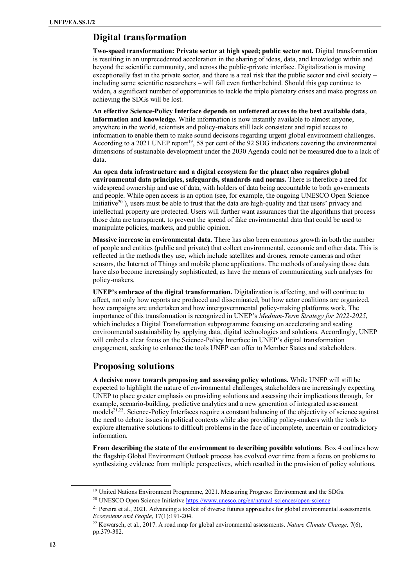## **Digital transformation**

**Two-speed transformation: Private sector at high speed; public sector not.** Digital transformation is resulting in an unprecedented acceleration in the sharing of ideas, data, and knowledge within and beyond the scientific community, and across the public-private interface. Digitalization is moving exceptionally fast in the private sector, and there is a real risk that the public sector and civil society – including some scientific researchers – will fall even further behind. Should this gap continue to widen, a significant number of opportunities to tackle the triple planetary crises and make progress on achieving the SDGs will be lost.

**An effective Science-Policy Interface depends on unfettered access to the best available data**, **information and knowledge.** While information is now instantly available to almost anyone, anywhere in the world, scientists and policy-makers still lack consistent and rapid access to information to enable them to make sound decisions regarding urgent global environment challenges. According to a 2021 UNEP report<sup>19</sup>, 58 per cent of the 92 SDG indicators covering the environmental dimensions of sustainable development under the 2030 Agenda could not be measured due to a lack of data.

**An open data infrastructure and a digital ecosystem for the planet also requires global environmental data principles, safeguards, standards and norms.** There is therefore a need for widespread ownership and use of data, with holders of data being accountable to both governments and people. While open access is an option (see, for example, the ongoing UNESCO Open Science Initiative<sup>20</sup>), users must be able to trust that the data are high-quality and that users' privacy and intellectual property are protected. Users will further want assurances that the algorithms that process those data are transparent, to prevent the spread of fake environmental data that could be used to manipulate policies, markets, and public opinion.

**Massive increase in environmental data.** There has also been enormous growth in both the number of people and entities (public and private) that collect environmental, economic and other data. This is reflected in the methods they use, which include satellites and drones, remote cameras and other sensors, the Internet of Things and mobile phone applications. The methods of analysing those data have also become increasingly sophisticated, as have the means of communicating such analyses for policy-makers.

**UNEP's embrace of the digital transformation.** Digitalization is affecting, and will continue to affect, not only how reports are produced and disseminated, but how actor coalitions are organized, how campaigns are undertaken and how intergovernmental policy-making platforms work. The importance of this transformation is recognized in UNEP's *Medium-Term Strategy for 2022-2025*, which includes a Digital Transformation subprogramme focusing on accelerating and scaling environmental sustainability by applying data, digital technologies and solutions. Accordingly, UNEP will embed a clear focus on the Science-Policy Interface in UNEP's digital transformation engagement, seeking to enhance the tools UNEP can offer to Member States and stakeholders.

# **Proposing solutions**

**A decisive move towards proposing and assessing policy solutions.** While UNEP will still be expected to highlight the nature of environmental challenges, stakeholders are increasingly expecting UNEP to place greater emphasis on providing solutions and assessing their implications through, for example, scenario-building, predictive analytics and a new generation of integrated assessment models<sup>21,22</sup>. Science-Policy Interfaces require a constant balancing of the objectivity of science against the need to debate issues in political contexts while also providing policy-makers with the tools to explore alternative solutions to difficult problems in the face of incomplete, uncertain or contradictory information.

**From describing the state of the environment to describing possible solutions**. Box 4 outlines how the flagship Global Environment Outlook process has evolved over time from a focus on problems to synthesizing evidence from multiple perspectives, which resulted in the provision of policy solutions.

<sup>&</sup>lt;sup>19</sup> United Nations Environment Programme, 2021. Measuring Progress: Environment and the SDGs.

<sup>&</sup>lt;sup>20</sup> UNESCO Open Science Initiative <https://www.unesco.org/en/natural-sciences/open-science>

<sup>&</sup>lt;sup>21</sup> Pereira et al., 2021. Advancing a toolkit of diverse futures approaches for global environmental assessments. *Ecosystems and People*, 17(1):191-204.

<sup>22</sup> Kowarsch, et al., 2017. A road map for global environmental assessments. *Nature Climate Change,* 7(6), pp.379-382.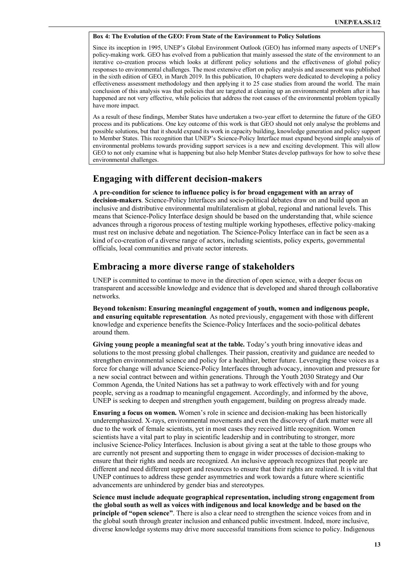#### **Box 4: The Evolution of the GEO: From State of the Environment to Policy Solutions**

Since its inception in 1995, UNEP's Global Environment Outlook (GEO) has informed many aspects of UNEP's policy-making work. GEO has evolved from a publication that mainly assessed the state of the environment to an iterative co-creation process which looks at different policy solutions and the effectiveness of global policy responses to environmental challenges. The most extensive effort on policy analysis and assessment was published in the sixth edition of GEO, in March 2019. In this publication, 10 chapters were dedicated to developing a policy effectiveness assessment methodology and then applying it to 25 case studies from around the world. The main conclusion of this analysis was that policies that are targeted at cleaning up an environmental problem after it has happened are not very effective, while policies that address the root causes of the environmental problem typically have more impact.

As a result of these findings, Member States have undertaken a two-year effort to determine the future of the GEO process and its publications. One key outcome of this work is that GEO should not only analyse the problems and possible solutions, but that it should expand its work in capacity building, knowledge generation and policy support to Member States. This recognition that UNEP's Science-Policy Interface must expand beyond simple analysis of environmental problems towards providing support services is a new and exciting development. This will allow GEO to not only examine what is happening but also help Member States develop pathways for how to solve these environmental challenges.

### **Engaging with different decision-makers**

**A pre-condition for science to influence policy is for broad engagement with an array of decision-makers**. Science-Policy Interfaces and socio-political debates draw on and build upon an inclusive and distributive environmental multilateralism at global, regional and national levels. This means that Science-Policy Interface design should be based on the understanding that, while science advances through a rigorous process of testing multiple working hypotheses, effective policy-making must rest on inclusive debate and negotiation. The Science-Policy Interface can in fact be seen as a kind of co-creation of a diverse range of actors, including scientists, policy experts, governmental officials, local communities and private sector interests.

### **Embracing a more diverse range of stakeholders**

UNEP is committed to continue to move in the direction of open science, with a deeper focus on transparent and accessible knowledge and evidence that is developed and shared through collaborative networks.

**Beyond tokenism: Ensuring meaningful engagement of youth, women and indigenous people, and ensuring equitable representation***.* As noted previously, engagement with those with different knowledge and experience benefits the Science-Policy Interfaces and the socio-political debates around them.

**Giving young people a meaningful seat at the table.** Today's youth bring innovative ideas and solutions to the most pressing global challenges. Their passion, creativity and guidance are needed to strengthen environmental science and policy for a healthier, better future. Leveraging these voices as a force for change will advance Science-Policy Interfaces through advocacy, innovation and pressure for a new social contract between and within generations. Through the Youth 2030 Strategy and Our Common Agenda, the United Nations has set a pathway to work effectively with and for young people, serving as a roadmap to meaningful engagement. Accordingly, and informed by the above, UNEP is seeking to deepen and strengthen youth engagement, building on progress already made.

**Ensuring a focus on women.** Women's role in science and decision-making has been historically underemphasized. X-rays, environmental movements and even the discovery of dark matter were all due to the work of female scientists, yet in most cases they received little recognition. Women scientists have a vital part to play in scientific leadership and in contributing to stronger, more inclusive Science-Policy Interfaces. Inclusion is about giving a seat at the table to those groups who are currently not present and supporting them to engage in wider processes of decision-making to ensure that their rights and needs are recognized. An inclusive approach recognizes that people are different and need different support and resources to ensure that their rights are realized. It is vital that UNEP continues to address these gender asymmetries and work towards a future where scientific advancements are unhindered by gender bias and stereotypes.

**Science must include adequate geographical representation, including strong engagement from the global south as well as voices with indigenous and local knowledge and be based on the principle of "open science"**. There is also a clear need to strengthen the science voices from and in the global south through greater inclusion and enhanced public investment. Indeed, more inclusive, diverse knowledge systems may drive more successful transitions from science to policy. Indigenous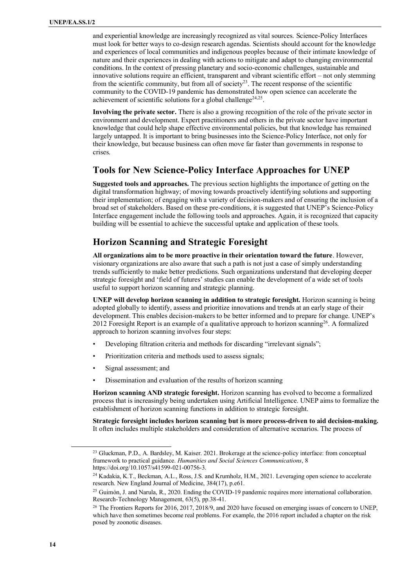and experiential knowledge are increasingly recognized as vital sources. Science-Policy Interfaces must look for better ways to co-design research agendas. Scientists should account for the knowledge and experiences of local communities and indigenous peoples because of their intimate knowledge of nature and their experiences in dealing with actions to mitigate and adapt to changing environmental conditions. In the context of pressing planetary and socio-economic challenges, sustainable and innovative solutions require an efficient, transparent and vibrant scientific effort – not only stemming from the scientific community, but from all of society<sup>23</sup>. The recent response of the scientific community to the COVID-19 pandemic has demonstrated how open science can accelerate the achievement of scientific solutions for a global challenge<sup>24,25</sup>.

**Involving the private sector.** There is also a growing recognition of the role of the private sector in environment and development. Expert practitioners and others in the private sector have important knowledge that could help shape effective environmental policies, but that knowledge has remained largely untapped. It is important to bring businesses into the Science-Policy Interface, not only for their knowledge, but because business can often move far faster than governments in response to crises.

### **Tools for New Science-Policy Interface Approaches for UNEP**

**Suggested tools and approaches.** The previous section highlights the importance of getting on the digital transformation highway; of moving towards proactively identifying solutions and supporting their implementation; of engaging with a variety of decision-makers and of ensuring the inclusion of a broad set of stakeholders. Based on these pre-conditions, it is suggested that UNEP's Science-Policy Interface engagement include the following tools and approaches. Again, it is recognized that capacity building will be essential to achieve the successful uptake and application of these tools.

# **Horizon Scanning and Strategic Foresight**

**All organizations aim to be more proactive in their orientation toward the future**. However, visionary organizations are also aware that such a path is not just a case of simply understanding trends sufficiently to make better predictions. Such organizations understand that developing deeper strategic foresight and 'field of futures' studies can enable the development of a wide set of tools useful to support horizon scanning and strategic planning.

**UNEP will develop horizon scanning in addition to strategic foresight.** Horizon scanning is being adopted globally to identify, assess and prioritize innovations and trends at an early stage of their development. This enables decision-makers to be better informed and to prepare for change. UNEP's 2012 Foresight Report is an example of a qualitative approach to horizon scanning<sup>26</sup>. A formalized approach to horizon scanning involves four steps:

- Developing filtration criteria and methods for discarding "irrelevant signals";
- Prioritization criteria and methods used to assess signals;
- Signal assessment; and
- Dissemination and evaluation of the results of horizon scanning

**Horizon scanning AND strategic foresight.** Horizon scanning has evolved to become a formalized process that is increasingly being undertaken using Artificial Intelligence. UNEP aims to formalize the establishment of horizon scanning functions in addition to strategic foresight.

**Strategic foresight includes horizon scanning but is more process-driven to aid decision-making.** It often includes multiple stakeholders and consideration of alternative scenarios. The process of

<sup>&</sup>lt;sup>23</sup> Gluckman, P.D., A. Bardsley, M. Kaiser. 2021. Brokerage at the science-policy interface: from conceptual framework to practical guidance. *Humanities and Social Sciences Communications*, 8 https://doi.org/10.1057/s41599-021-00756-3.

<sup>&</sup>lt;sup>24</sup> Kadakia, K.T., Beckman, A.L., Ross, J.S. and Krumholz, H.M., 2021. Leveraging open science to accelerate research. New England Journal of Medicine, 384(17), p.e61.

<sup>25</sup> Guimón, J. and Narula, R., 2020. Ending the COVID-19 pandemic requires more international collaboration. Research-Technology Management, 63(5), pp.38-41.

<sup>&</sup>lt;sup>26</sup> The Frontiers Reports for 2016, 2017, 2018/9, and 2020 have focused on emerging issues of concern to UNEP, which have then sometimes become real problems. For example, the 2016 report included a chapter on the risk posed by zoonotic diseases.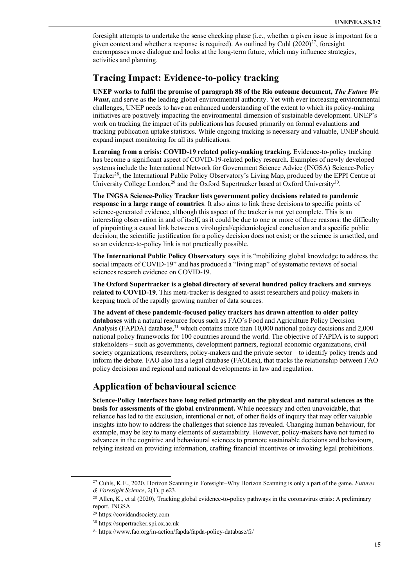foresight attempts to undertake the sense checking phase (i.e., whether a given issue is important for a given context and whether a response is required). As outlined by Cuhl  $(2020)^{27}$ , foresight encompasses more dialogue and looks at the long-term future, which may influence strategies, activities and planning.

### **Tracing Impact: Evidence-to-policy tracking**

**UNEP works to fulfil the promise of paragraph 88 of the Rio outcome document,** *The Future We Want***,** and serve as the leading global environmental authority. Yet with ever increasing environmental challenges, UNEP needs to have an enhanced understanding of the extent to which its policy-making initiatives are positively impacting the environmental dimension of sustainable development. UNEP's work on tracking the impact of its publications has focused primarily on formal evaluations and tracking publication uptake statistics. While ongoing tracking is necessary and valuable, UNEP should expand impact monitoring for all its publications.

**Learning from a crisis: COVID-19 related policy-making tracking.** Evidence-to-policy tracking has become a significant aspect of COVID-19-related policy research. Examples of newly developed systems include the International Network for Government Science Advice (INGSA) Science-Policy Tracker<sup>28</sup>, the International Public Policy Observatory's Living Map, produced by the EPPI Centre at University College London,<sup>29</sup> and the Oxford Supertracker based at Oxford University<sup>30</sup>.

**The INGSA Science-Policy Tracker lists government policy decisions related to pandemic response in a large range of countries**. It also aims to link these decisions to specific points of science-generated evidence, although this aspect of the tracker is not yet complete. This is an interesting observation in and of itself, as it could be due to one or more of three reasons: the difficulty of pinpointing a causal link between a virological/epidemiological conclusion and a specific public decision; the scientific justification for a policy decision does not exist; or the science is unsettled, and so an evidence-to-policy link is not practically possible.

**The International Public Policy Observatory** says it is "mobilizing global knowledge to address the social impacts of COVID-19" and has produced a "living map" of systematic reviews of social sciences research evidence on COVID-19.

**The Oxford Supertracker is a global directory of several hundred policy trackers and surveys related to COVID-19**. This meta-tracker is designed to assist researchers and policy-makers in keeping track of the rapidly growing number of data sources.

**The advent of these pandemic-focused policy trackers has drawn attention to older policy databases** with a natural resource focus such as FAO's Food and Agriculture Policy Decision Analysis (FAPDA) database,<sup>31</sup> which contains more than 10,000 national policy decisions and 2,000 national policy frameworks for 100 countries around the world. The objective of FAPDA is to support stakeholders – such as governments, development partners, regional economic organizations, civil society organizations, researchers, policy-makers and the private sector – to identify policy trends and inform the debate. FAO also has a legal database (FAOLex), that tracks the relationship between FAO policy decisions and regional and national developments in law and regulation.

### **Application of behavioural science**

**Science-Policy Interfaces have long relied primarily on the physical and natural sciences as the basis for assessments of the global environment.** While necessary and often unavoidable, that reliance has led to the exclusion, intentional or not, of other fields of inquiry that may offer valuable insights into how to address the challenges that science has revealed. Changing human behaviour, for example, may be key to many elements of sustainability. However, policy-makers have not turned to advances in the cognitive and behavioural sciences to promote sustainable decisions and behaviours, relying instead on providing information, crafting financial incentives or invoking legal prohibitions.

<sup>27</sup> Cuhls, K.E., 2020. Horizon Scanning in Foresight–Why Horizon Scanning is only a part of the game. *Futures & Foresight Science*, 2(1), p.e23.

 $^{28}$  Allen, K., et al (2020), Tracking global evidence-to-policy pathways in the coronavirus crisis: A preliminary report. INGSA

<sup>29</sup> https://covidandsociety.com

<sup>30</sup> https://supertracker.spi.ox.ac.uk

<sup>31</sup> https://www.fao.org/in-action/fapda/fapda-policy-database/fr/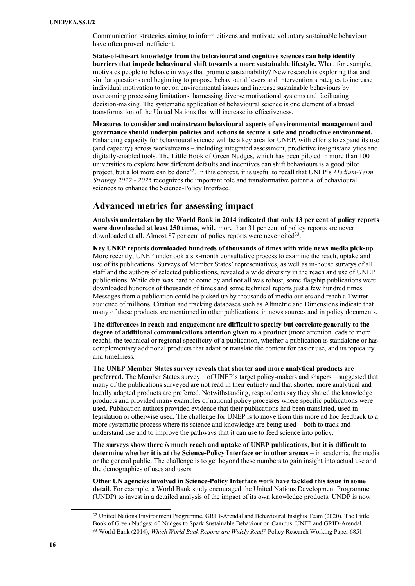Communication strategies aiming to inform citizens and motivate voluntary sustainable behaviour have often proved inefficient.

**State-of-the-art knowledge from the behavioural and cognitive sciences can help identify barriers that impede behavioural shift towards a more sustainable lifestyle.** What, for example, motivates people to behave in ways that promote sustainability? New research is exploring that and similar questions and beginning to propose behavioural levers and intervention strategies to increase individual motivation to act on environmental issues and increase sustainable behaviours by overcoming processing limitations, harnessing diverse motivational systems and facilitating decision-making. The systematic application of behavioural science is one element of a broad transformation of the United Nations that will increase its effectiveness.

**Measures to consider and mainstream behavioural aspects of environmental management and governance should underpin policies and actions to secure a safe and productive environment.** Enhancing capacity for behavioural science will be a key area for UNEP, with efforts to expand its use (and capacity) across workstreams – including integrated assessment, predictive insights/analytics and digitally-enabled tools. The Little Book of Green Nudges, which has been piloted in more than 100 universities to explore how different defaults and incentives can shift behaviours is a good pilot project, but a lot more can be done<sup>32</sup>. In this context, it is useful to recall that UNEP's *Medium-Term Strategy 2022 - 2025* recognizes the important role and transformative potential of behavioural sciences to enhance the Science-Policy Interface.

### **Advanced metrics for assessing impact**

**Analysis undertaken by the World Bank in 2014 indicated that only 13 per cent of policy reports were downloaded at least 250 times**, while more than 31 per cent of policy reports are never downloaded at all. Almost 87 per cent of policy reports were never cited<sup>33</sup>.

**Key UNEP reports downloaded hundreds of thousands of times with wide news media pick-up.**  More recently, UNEP undertook a six-month consultative process to examine the reach, uptake and use of its publications. Surveys of Member States' representatives, as well as in-house surveys of all staff and the authors of selected publications, revealed a wide diversity in the reach and use of UNEP publications. While data was hard to come by and not all was robust, some flagship publications were downloaded hundreds of thousands of times and some technical reports just a few hundred times. Messages from a publication could be picked up by thousands of media outlets and reach a Twitter audience of millions. Citation and tracking databases such as Altmetric and Dimensions indicate that many of these products are mentioned in other publications, in news sources and in policy documents.

**The differences in reach and engagement are difficult to specify but correlate generally to the degree of additional communications attention given to a product** (more attention leads to more reach), the technical or regional specificity of a publication, whether a publication is standalone or has complementary additional products that adapt or translate the content for easier use, and its topicality and timeliness.

**The UNEP Member States survey reveals that shorter and more analytical products are preferred.** The Member States survey – of UNEP's target policy-makers and shapers – suggested that many of the publications surveyed are not read in their entirety and that shorter, more analytical and locally adapted products are preferred. Notwithstanding, respondents say they shared the knowledge products and provided many examples of national policy processes where specific publications were used. Publication authors provided evidence that their publications had been translated, used in legislation or otherwise used. The challenge for UNEP is to move from this more ad hoc feedback to a more systematic process where its science and knowledge are being used – both to track and understand use and to improve the pathways that it can use to feed science into policy.

**The surveys show there** *is* **much reach and uptake of UNEP publications, but it is difficult to determine whether it is at the Science-Policy Interface or in other arenas** – in academia, the media or the general public. The challenge is to get beyond these numbers to gain insight into actual use and the demographics of uses and users.

**Other UN agencies involved in Science-Policy Interface work have tackled this issue in some detail**. For example, a World Bank study encouraged the United Nations Development Programme (UNDP) to invest in a detailed analysis of the impact of its own knowledge products. UNDP is now

<sup>&</sup>lt;sup>32</sup> United Nations Environment Programme, GRID-Arendal and Behavioural Insights Team (2020). The Little Book of Green Nudges: 40 Nudges to Spark Sustainable Behaviour on Campus. UNEP and GRID-Arendal. <sup>33</sup> World Bank (2014), *Which World Bank Reports are Widely Read?* Policy Research Working Paper 6851.